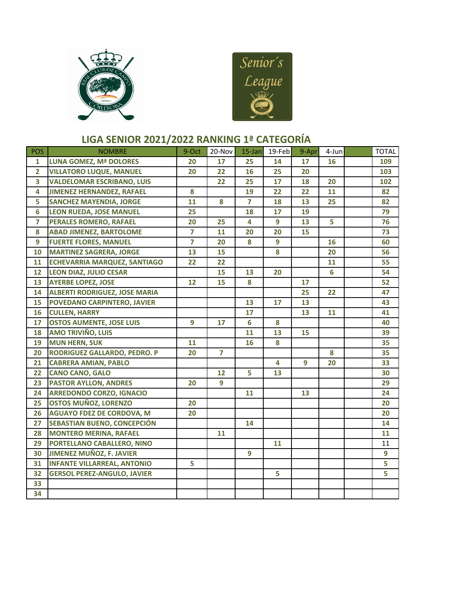



## **LIGA SENIOR 2021/2022 RANKING 1ª CATEGORÍA**

| <b>POS</b>              | <b>NOMBRE</b>                        | 9-Oct                   | 20-Nov         | 15-Jan         | 19-Feb | 9-Apr | $4$ -Jun | <b>TOTAL</b> |
|-------------------------|--------------------------------------|-------------------------|----------------|----------------|--------|-------|----------|--------------|
| $\mathbf{1}$            | <b>LUNA GOMEZ, Mª DOLORES</b>        | 20                      | 17             | 25             | 14     | 17    | 16       | 109          |
| $\overline{2}$          | <b>VILLATORO LUQUE, MANUEL</b>       | 20                      | 22             | 16             | 25     | 20    |          | 103          |
| 3                       | <b>VALDELOMAR ESCRIBANO, LUIS</b>    |                         | 22             | 25             | 17     | 18    | 20       | 102          |
| 4                       | <b>JIMENEZ HERNANDEZ, RAFAEL</b>     | 8                       |                | 19             | 22     | 22    | 11       | 82           |
| 5                       | <b>SANCHEZ MAYENDIA, JORGE</b>       | 11                      | 8              | $\overline{7}$ | 18     | 13    | 25       | 82           |
| 6                       | <b>LEON RUEDA, JOSE MANUEL</b>       | 25                      |                | 18             | 17     | 19    |          | 79           |
| $\overline{\mathbf{z}}$ | <b>PERALES ROMERO, RAFAEL</b>        | 20                      | 25             | 4              | 9      | 13    | 5        | 76           |
| 8                       | <b>ABAD JIMENEZ, BARTOLOME</b>       | $\overline{\mathbf{z}}$ | 11             | 20             | 20     | 15    |          | 73           |
| 9                       | <b>FUERTE FLORES, MANUEL</b>         | $\overline{7}$          | 20             | 8              | 9      |       | 16       | 60           |
| 10                      | <b>MARTINEZ SAGRERA, JORGE</b>       | 13                      | 15             |                | 8      |       | 20       | 56           |
| 11                      | <b>ECHEVARRIA MARQUEZ, SANTIAGO</b>  | 22                      | 22             |                |        |       | 11       | 55           |
| 12                      | <b>LEON DIAZ, JULIO CESAR</b>        |                         | 15             | 13             | 20     |       | 6        | 54           |
| 13                      | <b>AYERBE LOPEZ, JOSE</b>            | 12                      | 15             | 8              |        | 17    |          | 52           |
| 14                      | <b>ALBERTI RODRIGUEZ, JOSE MARIA</b> |                         |                |                |        | 25    | 22       | 47           |
| 15                      | POVEDANO CARPINTERO, JAVIER          |                         |                | 13             | 17     | 13    |          | 43           |
| 16                      | <b>CULLEN, HARRY</b>                 |                         |                | 17             |        | 13    | 11       | 41           |
| 17                      | <b>OSTOS AUMENTE, JOSE LUIS</b>      | 9                       | 17             | 6              | 8      |       |          | 40           |
| 18                      | <b>AMO TRIVIÑO, LUIS</b>             |                         |                | 11             | 13     | 15    |          | 39           |
| 19                      | <b>MUN HERN, SUK</b>                 | 11                      |                | 16             | 8      |       |          | 35           |
| 20                      | RODRIGUEZ GALLARDO, PEDRO. P         | 20                      | $\overline{7}$ |                |        |       | 8        | 35           |
| 21                      | <b>CABRERA AMIAN, PABLO</b>          |                         |                |                | 4      | 9     | 20       | 33           |
| 22                      | <b>CANO CANO, GALO</b>               |                         | 12             | 5              | 13     |       |          | 30           |
| 23                      | <b>PASTOR AYLLON, ANDRES</b>         | 20                      | 9              |                |        |       |          | 29           |
| 24                      | <b>ARREDONDO CORZO, IGNACIO</b>      |                         |                | 11             |        | 13    |          | 24           |
| 25                      | <b>OSTOS MUÑOZ, LORENZO</b>          | 20                      |                |                |        |       |          | 20           |
| 26                      | <b>AGUAYO FDEZ DE CORDOVA, M</b>     | 20                      |                |                |        |       |          | 20           |
| 27                      | SEBASTIAN BUENO, CONCEPCIÓN          |                         |                | 14             |        |       |          | 14           |
| 28                      | <b>MONTERO MERINA, RAFAEL</b>        |                         | 11             |                |        |       |          | 11           |
| 29                      | PORTELLANO CABALLERO, NINO           |                         |                |                | 11     |       |          | 11           |
| 30                      | JIMENEZ MUÑOZ, F. JAVIER             |                         |                | 9              |        |       |          | 9            |
| 31                      | <b>INFANTE VILLARREAL, ANTONIO</b>   | 5                       |                |                |        |       |          | 5            |
| 32                      | <b>GERSOL PEREZ-ANGULO, JAVIER</b>   |                         |                |                | 5      |       |          | 5.           |
| 33                      |                                      |                         |                |                |        |       |          |              |
| 34                      |                                      |                         |                |                |        |       |          |              |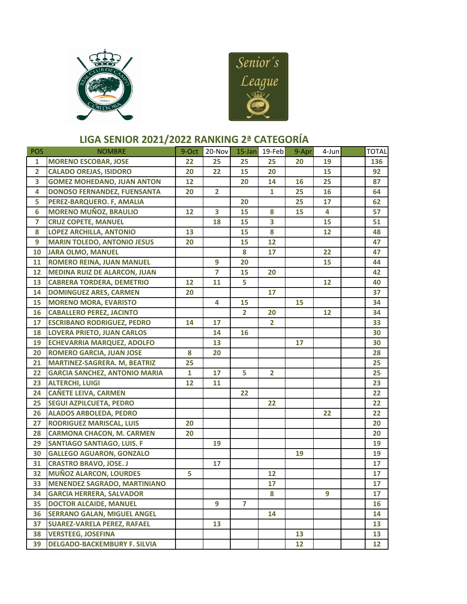



## **LIGA SENIOR 2021/2022 RANKING 2ª CATEGORÍA**

| <b>POS</b>     | <b>NOMBRE</b>                        | 9-Oct        | 20-Nov         |                | 15-Jan 19-Feb  | 9-Apr           | 4-Jun | <b>TOTAL</b> |
|----------------|--------------------------------------|--------------|----------------|----------------|----------------|-----------------|-------|--------------|
| $\mathbf{1}$   | <b>MORENO ESCOBAR, JOSE</b>          | 22           | 25             | 25             | 25             | 20              | 19    | 136          |
| $\overline{2}$ | <b>CALADO OREJAS, ISIDORO</b>        | 20           | 22             | 15             | 20             |                 | 15    | 92           |
| 3              | <b>GOMEZ MOHEDANO, JUAN ANTON</b>    | 12           |                | 20             | 14             | 16              | 25    | 87           |
| 4              | <b>DONOSO FERNANDEZ, FUENSANTA</b>   | 20           | $\overline{2}$ |                | $\mathbf{1}$   | 25              | 16    | 64           |
| 5              | PEREZ-BARQUERO. F, AMALIA            |              |                | 20             |                | 25              | 17    | 62           |
| 6              | <b>MORENO MUÑOZ, BRAULIO</b>         | 12           | 3              | 15             | 8              | 15              | 4     | 57           |
| 7              | <b>CRUZ COPETE, MANUEL</b>           |              | 18             | 15             | 3              |                 | 15    | 51           |
| 8              | <b>LOPEZ ARCHILLA, ANTONIO</b>       | 13           |                | 15             | 8              |                 | 12    | 48           |
| 9              | <b>MARIN TOLEDO, ANTONIO JESUS</b>   | 20           |                | 15             | 12             |                 |       | 47           |
| 10             | <b>JARA OLMO, MANUEL</b>             |              |                | 8              | 17             |                 | 22    | 47           |
| 11             | <b>ROMERO REINA, JUAN MANUEL</b>     |              | 9              | 20             |                |                 | 15    | 44           |
| 12             | <b>MEDINA RUIZ DE ALARCON, JUAN</b>  |              | $\overline{7}$ | 15             | 20             |                 |       | 42           |
| 13             | <b>CABRERA TORDERA, DEMETRIO</b>     | 12           | 11             | 5              |                |                 | 12    | 40           |
| 14             | <b>DOMINGUEZ ARES, CARMEN</b>        | 20           |                |                | 17             |                 |       | 37           |
| 15             | <b>MORENO MORA, EVARISTO</b>         |              | 4              | 15             |                | 15              |       | 34           |
| 16             | <b>CABALLERO PEREZ, JACINTO</b>      |              |                | $\overline{2}$ | 20             |                 | 12    | 34           |
| 17             | <b>ESCRIBANO RODRIGUEZ, PEDRO</b>    | 14           | 17             |                | $\overline{2}$ |                 |       | 33           |
| 18             | <b>LOVERA PRIETO, JUAN CARLOS</b>    |              | 14             | 16             |                |                 |       | 30           |
| 19             | <b>ECHEVARRIA MARQUEZ, ADOLFO</b>    |              | 13             |                |                | 17              |       | 30           |
| 20             | <b>ROMERO GARCIA, JUAN JOSE</b>      | 8            | 20             |                |                |                 |       | 28           |
| 21             | MARTINEZ-SAGRERA. M, BEATRIZ         | 25           |                |                |                |                 |       | 25           |
| 22             | <b>GARCIA SANCHEZ, ANTONIO MARIA</b> | $\mathbf{1}$ | 17             | 5              | $\overline{2}$ |                 |       | 25           |
| 23             | <b>ALTERCHI, LUIGI</b>               | 12           | 11             |                |                |                 |       | 23           |
| 24             | <b>CAÑETE LEIVA, CARMEN</b>          |              |                | 22             |                |                 |       | 22           |
| 25             | <b>SEGUI AZPILCUETA, PEDRO</b>       |              |                |                | 22             |                 |       | 22           |
| 26             | <b>ALADOS ARBOLEDA, PEDRO</b>        |              |                |                |                |                 | 22    | 22           |
| 27             | <b>RODRIGUEZ MARISCAL, LUIS</b>      | 20           |                |                |                |                 |       | 20           |
| 28             | <b>CARMONA CHACON, M. CARMEN</b>     | 20           |                |                |                |                 |       | 20           |
| 29             | <b>SANTIAGO SANTIAGO, LUIS. F</b>    |              | 19             |                |                |                 |       | 19           |
| 30             | <b>GALLEGO AGUARON, GONZALO</b>      |              |                |                |                | 19              |       | 19           |
| 31             | <b>CRASTRO BRAVO, JOSE. J</b>        |              | 17             |                |                |                 |       | 17           |
| 32             | <b>MUÑOZ ALARCON, LOURDES</b>        | 5            |                |                | 12             |                 |       | 17           |
| 33             | <b>MENENDEZ SAGRADO, MARTINIANO</b>  |              |                |                | 17             |                 |       | 17           |
| 34             | <b>GARCIA HERRERA, SALVADOR</b>      |              |                |                | 8              |                 | 9     | 17           |
| 35             | <b>DOCTOR ALCAIDE, MANUEL</b>        |              | 9              | $\overline{7}$ |                |                 |       | 16           |
| 36             | <b>SERRANO GALAN, MIGUEL ANGEL</b>   |              |                |                | 14             |                 |       | 14           |
| 37             | <b>SUAREZ-VARELA PEREZ, RAFAEL</b>   |              | 13             |                |                |                 |       | 13           |
| 38             | <b>VERSTEEG, JOSEFINA</b>            |              |                |                |                | 13 <sub>1</sub> |       | 13           |
| 39             | <b>DELGADO-BACKEMBURY F. SILVIA</b>  |              |                |                |                | 12              |       | 12           |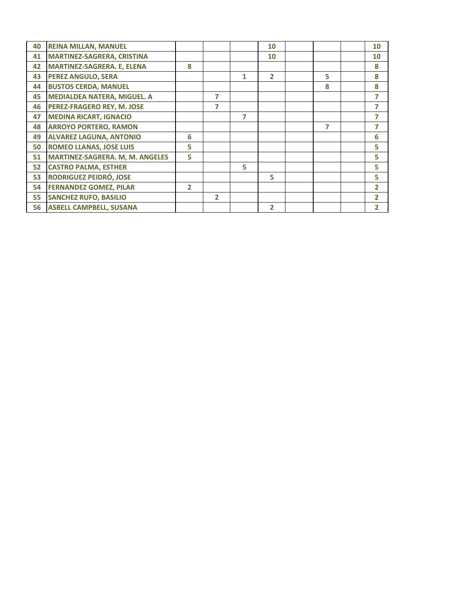| 40 | <b>REINA MILLAN, MANUEL</b>            |                |                         |   | 10             |   | 10             |
|----|----------------------------------------|----------------|-------------------------|---|----------------|---|----------------|
| 41 | <b>MARTINEZ-SAGRERA, CRISTINA</b>      |                |                         |   | 10             |   | 10             |
| 42 | <b>MARTINEZ-SAGRERA. E, ELENA</b>      | 8              |                         |   |                |   | 8              |
| 43 | <b>PEREZ ANGULO, SERA</b>              |                |                         | 1 | $\overline{2}$ | 5 | 8              |
| 44 | <b>BUSTOS CERDA, MANUEL</b>            |                |                         |   |                | 8 | 8              |
| 45 | <b>MEDIALDEA NATERA, MIGUEL. A</b>     |                | 7                       |   |                |   | 7              |
| 46 | PEREZ-FRAGERO REY, M. JOSE             |                | 7                       |   |                |   | 7              |
| 47 | <b>MEDINA RICART, IGNACIO</b>          |                |                         | 7 |                |   | 7              |
| 48 | <b>ARROYO PORTERO, RAMON</b>           |                |                         |   |                | 7 | 7              |
| 49 | <b>ALVAREZ LAGUNA, ANTONIO</b>         | 6              |                         |   |                |   | 6              |
| 50 | <b>ROMEO LLANAS, JOSE LUIS</b>         | 5              |                         |   |                |   | 5              |
| 51 | <b>MARTINEZ-SAGRERA. M, M. ANGELES</b> | 5              |                         |   |                |   | 5              |
| 52 | <b>CASTRO PALMA, ESTHER</b>            |                |                         | 5 |                |   | 5              |
| 53 | <b>RODRIGUEZ PEIDRÓ, JOSE</b>          |                |                         |   | 5              |   | 5              |
| 54 | <b>FERNANDEZ GOMEZ, PILAR</b>          | $\overline{2}$ |                         |   |                |   | $\overline{2}$ |
| 55 | <b>SANCHEZ RUFO, BASILIO</b>           |                | $\overline{\mathbf{z}}$ |   |                |   | 2              |
| 56 | <b>ASBELL CAMPBELL, SUSANA</b>         |                |                         |   | $\overline{2}$ |   | $\overline{2}$ |